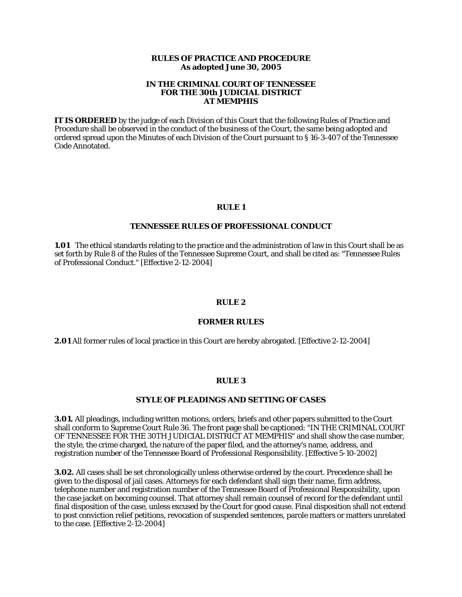### **RULES OF PRACTICE AND PROCEDURE As adopted June 30, 2005**

### **IN THE CRIMINAL COURT OF TENNESSEE FOR THE 30th JUDICIAL DISTRICT AT MEMPHIS**

**IT IS ORDERED** by the judge of each Division of this Court that the following Rules of Practice and Procedure shall be observed in the conduct of the business of the Court, the same being adopted and ordered spread upon the Minutes of each Division of the Court pursuant to § 16-3-407 of the Tennessee Code Annotated.

### **RULE 1**

### **TENNESSEE RULES OF PROFESSIONAL CONDUCT**

**1.01** The ethical standards relating to the practice and the administration of law in this Court shall be as set forth by Rule 8 of the Rules of the Tennessee Supreme Court, and shall be cited as: "Tennessee Rules of Professional Conduct." [Effective 2-12-2004]

### **RULE 2**

### **FORMER RULES**

**2.01** All former rules of local practice in this Court are hereby abrogated. [Effective 2-12-2004]

### **RULE 3**

### **STYLE OF PLEADINGS AND SETTING OF CASES**

**3.01.** All pleadings, including written motions, orders, briefs and other papers submitted to the Court shall conform to Supreme Court Rule 36. The front page shall be captioned: "IN THE CRIMINAL COURT OF TENNESSEE FOR THE 30TH JUDICIAL DISTRICT AT MEMPHIS" and shall show the case number, the style, the crime charged, the nature of the paper filed, and the attorney's name, address, and registration number of the Tennessee Board of Professional Responsibility. [Effective 5-10-2002]

**3.02.** All cases shall be set chronologically unless otherwise ordered by the court. Precedence shall be given to the disposal of jail cases. Attorneys for each defendant shall sign their name, firm address, telephone number and registration number of the Tennessee Board of Professional Responsibility, upon the case jacket on becoming counsel. That attorney shall remain counsel of record for the defendant until final disposition of the case, unless excused by the Court for good cause. Final disposition shall not extend to post conviction relief petitions, revocation of suspended sentences, parole matters or matters unrelated to the case. [Effective 2-12-2004]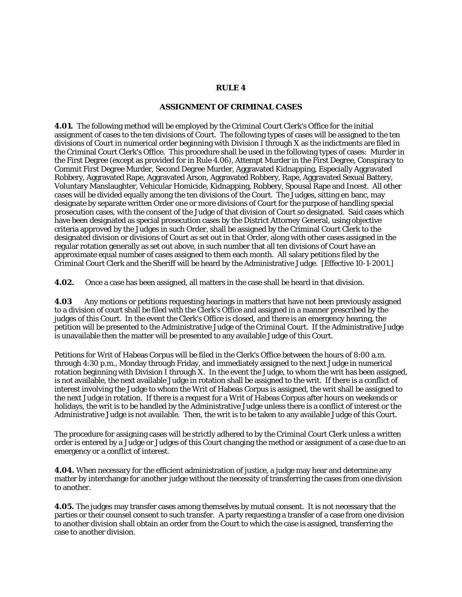### **RULE 4**

### **ASSIGNMENT OF CRIMINAL CASES**

**4.01.** The following method will be employed by the Criminal Court Clerk's Office for the initial assignment of cases to the ten divisions of Court. The following types of cases will be assigned to the ten divisions of Court in numerical order beginning with Division I through X as the indictments are filed in the Criminal Court Clerk's Office. This procedure shall be used in the following types of cases: Murder in the First Degree (except as provided for in Rule 4.06), Attempt Murder in the First Degree, Conspiracy to Commit First Degree Murder, Second Degree Murder, Aggravated Kidnapping, Especially Aggravated Robbery, Aggravated Rape, Aggravated Arson, Aggravated Robbery, Rape, Aggravated Sexual Battery, Voluntary Manslaughter, Vehicular Homicide, Kidnapping, Robbery, Spousal Rape and Incest. All other cases will be divided equally among the ten divisions of the Court. The Judges, sitting en banc, may designate by separate written Order one or more divisions of Court for the purpose of handling special prosecution cases, with the consent of the Judge of that division of Court so designated. Said cases which have been designated as special prosecution cases by the District Attorney General, using objective criteria approved by the Judges in such Order, shall be assigned by the Criminal Court Clerk to the designated division or divisions of Court as set out in that Order, along with other cases assigned in the regular rotation generally as set out above, in such number that all ten divisions of Court have an approximate equal number of cases assigned to them each month. All salary petitions filed by the Criminal Court Clerk and the Sheriff will be heard by the Administrative Judge. [Effective 10-1-2001.]

**4.02.** Once a case has been assigned, all matters in the case shall be heard in that division.

**4.03** Any motions or petitions requesting hearings in matters that have not been previously assigned to a division of court shall be filed with the Clerk's Office and assigned in a manner prescribed by the judges of this Court. In the event the Clerk's Office is closed, and there is an emergency hearing, the petition will be presented to the Administrative Judge of the Criminal Court. If the Administrative Judge is unavailable then the matter will be presented to any available Judge of this Court.

Petitions for Writ of Habeas Corpus will be filed in the Clerk's Office between the hours of 8:00 a.m. through 4:30 p.m., Monday through Friday, and immediately assigned to the next Judge in numerical rotation beginning with Division I through X. In the event the Judge, to whom the writ has been assigned, is not available, the next available Judge in rotation shall be assigned to the writ. If there is a conflict of interest involving the Judge to whom the Writ of Habeas Corpus is assigned, the writ shall be assigned to the next Judge in rotation. If there is a request for a Writ of Habeas Corpus after hours on weekends or holidays, the writ is to be handled by the Administrative Judge unless there is a conflict of interest or the Administrative Judge is not available. Then, the writ is to be taken to any available Judge of this Court.

The procedure for assigning cases will be strictly adhered to by the Criminal Court Clerk unless a written order is entered by a Judge or Judges of this Court changing the method or assignment of a case due to an emergency or a conflict of interest.

**4.04.** When necessary for the efficient administration of justice, a judge may hear and determine any matter by interchange for another judge without the necessity of transferring the cases from one division to another.

**4.05.** The judges may transfer cases among themselves by mutual consent. It is not necessary that the parties or their counsel consent to such transfer. A party requesting a transfer of a case from one division to another division shall obtain an order from the Court to which the case is assigned, transferring the case to another division.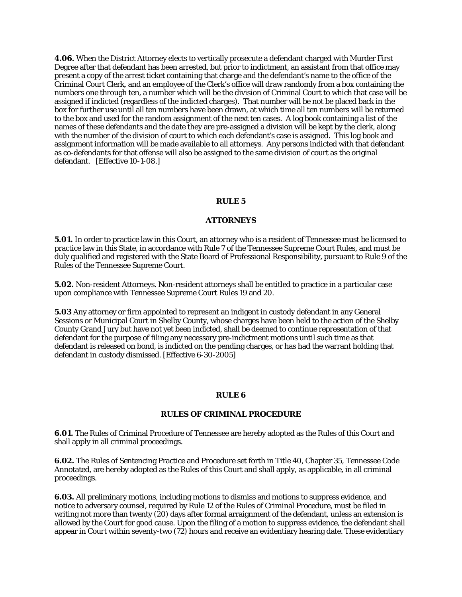**4.06.** When the District Attorney elects to vertically prosecute a defendant charged with Murder First Degree after that defendant has been arrested, but prior to indictment, an assistant from that office may present a copy of the arrest ticket containing that charge and the defendant's name to the office of the Criminal Court Clerk, and an employee of the Clerk's office will draw randomly from a box containing the numbers one through ten, a number which will be the division of Criminal Court to which that case will be assigned if indicted (regardless of the indicted charges). That number will be not be placed back in the box for further use until all ten numbers have been drawn, at which time all ten numbers will be returned to the box and used for the random assignment of the next ten cases. A log book containing a list of the names of these defendants and the date they are pre-assigned a division will be kept by the clerk, along with the number of the division of court to which each defendant's case is assigned. This log book and assignment information will be made available to all attorneys. Any persons indicted with that defendant as co-defendants for that offense will also be assigned to the same division of court as the original defendant. [Effective 10-1-08.]

### **RULE 5**

#### **ATTORNEYS**

**5.01.** In order to practice law in this Court, an attorney who is a resident of Tennessee must be licensed to practice law in this State, in accordance with Rule 7 of the Tennessee Supreme Court Rules, and must be duly qualified and registered with the State Board of Professional Responsibility, pursuant to Rule 9 of the Rules of the Tennessee Supreme Court.

**5.02.** Non-resident Attorneys. Non-resident attorneys shall be entitled to practice in a particular case upon compliance with Tennessee Supreme Court Rules 19 and 20.

**5.03** Any attorney or firm appointed to represent an indigent in custody defendant in any General Sessions or Municipal Court in Shelby County, whose charges have been held to the action of the Shelby County Grand Jury but have not yet been indicted, shall be deemed to continue representation of that defendant for the purpose of filing any necessary pre-indictment motions until such time as that defendant is released on bond, is indicted on the pending charges, or has had the warrant holding that defendant in custody dismissed. [Effective 6-30-2005]

#### **RULE 6**

#### **RULES OF CRIMINAL PROCEDURE**

**6.01.** The Rules of Criminal Procedure of Tennessee are hereby adopted as the Rules of this Court and shall apply in all criminal proceedings.

**6.02.** The Rules of Sentencing Practice and Procedure set forth in Title 40, Chapter 35, Tennessee Code Annotated, are hereby adopted as the Rules of this Court and shall apply, as applicable, in all criminal proceedings.

**6.03.** All preliminary motions, including motions to dismiss and motions to suppress evidence, and notice to adversary counsel, required by Rule 12 of the Rules of Criminal Procedure, must be filed in writing not more than twenty  $(20)$  days after formal arraignment of the defendant, unless an extension is allowed by the Court for good cause. Upon the filing of a motion to suppress evidence, the defendant shall appear in Court within seventy-two (72) hours and receive an evidentiary hearing date. These evidentiary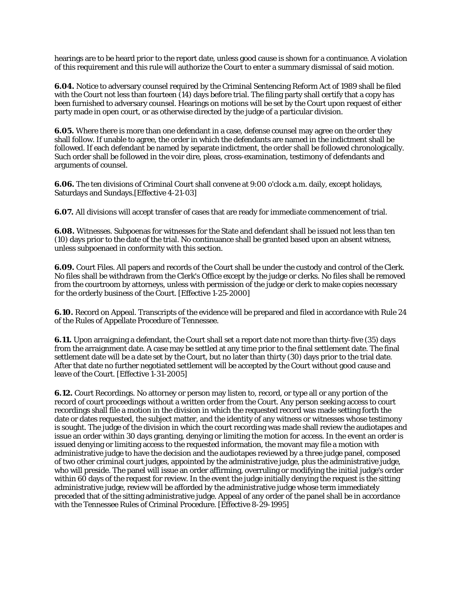hearings are to be heard prior to the report date, unless good cause is shown for a continuance. A violation of this requirement and this rule will authorize the Court to enter a summary dismissal of said motion.

**6.04.** Notice to adversary counsel required by the Criminal Sentencing Reform Act of 1989 shall be filed with the Court not less than fourteen (14) days before trial. The filing party shall certify that a copy has been furnished to adversary counsel. Hearings on motions will be set by the Court upon request of either party made in open court, or as otherwise directed by the judge of a particular division.

**6.05.** Where there is more than one defendant in a case, defense counsel may agree on the order they shall follow. If unable to agree, the order in which the defendants are named in the indictment shall be followed. If each defendant be named by separate indictment, the order shall be followed chronologically. Such order shall be followed in the voir dire, pleas, cross-examination, testimony of defendants and arguments of counsel.

**6.06.** The ten divisions of Criminal Court shall convene at 9:00 o'clock a.m. daily, except holidays, Saturdays and Sundays.[Effective 4-21-03]

**6.07.** All divisions will accept transfer of cases that are ready for immediate commencement of trial.

**6.08.** Witnesses. Subpoenas for witnesses for the State and defendant shall be issued not less than ten (10) days prior to the date of the trial. No continuance shall be granted based upon an absent witness, unless subpoenaed in conformity with this section.

**6.09.** Court Files. All papers and records of the Court shall be under the custody and control of the Clerk. No files shall be withdrawn from the Clerk's Office except by the judge or clerks. No files shall be removed from the courtroom by attorneys, unless with permission of the judge or clerk to make copies necessary for the orderly business of the Court. [Effective 1-25-2000]

**6.10.** Record on Appeal. Transcripts of the evidence will be prepared and filed in accordance with Rule 24 of the Rules of Appellate Procedure of Tennessee.

**6.11.** Upon arraigning a defendant, the Court shall set a report date not more than thirty-five (35) days from the arraignment date. A case may be settled at any time prior to the final settlement date. The final settlement date will be a date set by the Court, but no later than thirty (30) days prior to the trial date. After that date no further negotiated settlement will be accepted by the Court without good cause and leave of the Court. [Effective 1-31-2005]

**6.12.** Court Recordings. No attorney or person may listen to, record, or type all or any portion of the record of court proceedings without a written order from the Court. Any person seeking access to court recordings shall file a motion in the division in which the requested record was made setting forth the date or dates requested, the subject matter, and the identity of any witness or witnesses whose testimony is sought. The judge of the division in which the court recording was made shall review the audiotapes and issue an order within 30 days granting, denying or limiting the motion for access. In the event an order is issued denying or limiting access to the requested information, the movant may file a motion with administrative judge to have the decision and the audiotapes reviewed by a three judge panel, composed of two other criminal court judges, appointed by the administrative judge, plus the administrative judge, who will preside. The panel will issue an order affirming, overruling or modifying the initial judge's order within 60 days of the request for review. In the event the judge initially denying the request is the sitting administrative judge, review will be afforded by the administrative judge whose term immediately preceded that of the sitting administrative judge. Appeal of any order of the panel shall be in accordance with the Tennessee Rules of Criminal Procedure. [Effective 8-29-1995]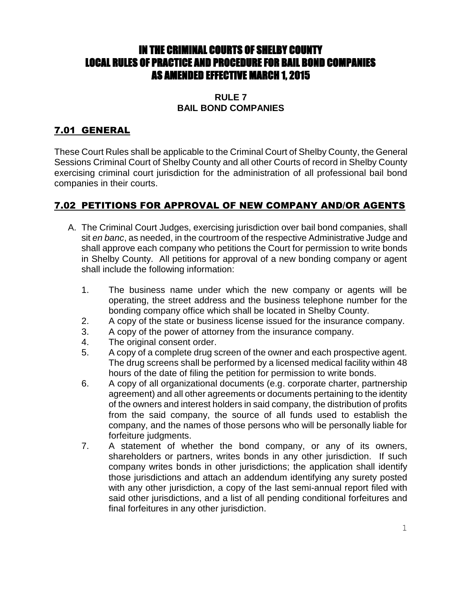# IN THE CRIMINAL COURTS OF SHELBY COUNTY LOCAL RULES OF PRACTICE AND PROCEDURE FOR BAIL BOND COMPANIES AS AMENDED EFFECTIVE MARCH 1, 2015

### **RULE 7 BAIL BOND COMPANIES**

# 7.01 GENERAL

These Court Rules shall be applicable to the Criminal Court of Shelby County, the General Sessions Criminal Court of Shelby County and all other Courts of record in Shelby County exercising criminal court jurisdiction for the administration of all professional bail bond companies in their courts.

## 7.02 PETITIONS FOR APPROVAL OF NEW COMPANY AND/OR AGENTS

- A. The Criminal Court Judges, exercising jurisdiction over bail bond companies, shall sit *en banc*, as needed, in the courtroom of the respective Administrative Judge and shall approve each company who petitions the Court for permission to write bonds in Shelby County. All petitions for approval of a new bonding company or agent shall include the following information:
	- 1. The business name under which the new company or agents will be operating, the street address and the business telephone number for the bonding company office which shall be located in Shelby County.
	- 2. A copy of the state or business license issued for the insurance company.
	- 3. A copy of the power of attorney from the insurance company.
	- 4. The original consent order.
	- 5. A copy of a complete drug screen of the owner and each prospective agent. The drug screens shall be performed by a licensed medical facility within 48 hours of the date of filing the petition for permission to write bonds.
	- 6. A copy of all organizational documents (e.g. corporate charter, partnership agreement) and all other agreements or documents pertaining to the identity of the owners and interest holders in said company, the distribution of profits from the said company, the source of all funds used to establish the company, and the names of those persons who will be personally liable for forfeiture judgments.
	- 7. A statement of whether the bond company, or any of its owners, shareholders or partners, writes bonds in any other jurisdiction. If such company writes bonds in other jurisdictions; the application shall identify those jurisdictions and attach an addendum identifying any surety posted with any other jurisdiction, a copy of the last semi-annual report filed with said other jurisdictions, and a list of all pending conditional forfeitures and final forfeitures in any other jurisdiction.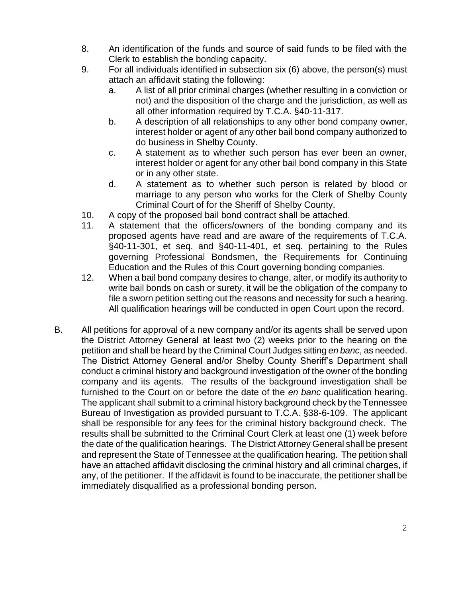- 8. An identification of the funds and source of said funds to be filed with the Clerk to establish the bonding capacity.
- 9. For all individuals identified in subsection six (6) above, the person(s) must attach an affidavit stating the following:
	- a. A list of all prior criminal charges (whether resulting in a conviction or not) and the disposition of the charge and the jurisdiction, as well as all other information required by T.C.A. §40-11-317.
	- b. A description of all relationships to any other bond company owner, interest holder or agent of any other bail bond company authorized to do business in Shelby County.
	- c. A statement as to whether such person has ever been an owner, interest holder or agent for any other bail bond company in this State or in any other state.
	- d. A statement as to whether such person is related by blood or marriage to any person who works for the Clerk of Shelby County Criminal Court of for the Sheriff of Shelby County.
- 10. A copy of the proposed bail bond contract shall be attached.
- 11. A statement that the officers/owners of the bonding company and its proposed agents have read and are aware of the requirements of T.C.A. §40-11-301, et seq. and §40-11-401, et seq. pertaining to the Rules governing Professional Bondsmen, the Requirements for Continuing Education and the Rules of this Court governing bonding companies.
- 12. When a bail bond company desires to change, alter, or modify its authority to write bail bonds on cash or surety, it will be the obligation of the company to file a sworn petition setting out the reasons and necessity for such a hearing. All qualification hearings will be conducted in open Court upon the record.
- B. All petitions for approval of a new company and/or its agents shall be served upon the District Attorney General at least two (2) weeks prior to the hearing on the petition and shall be heard by the Criminal Court Judges sitting *en banc*, as needed. The District Attorney General and/or Shelby County Sheriff's Department shall conduct a criminal history and background investigation of the owner of the bonding company and its agents. The results of the background investigation shall be furnished to the Court on or before the date of the *en banc* qualification hearing. The applicant shall submit to a criminal history background check by the Tennessee Bureau of Investigation as provided pursuant to T.C.A. §38-6-109. The applicant shall be responsible for any fees for the criminal history background check. The results shall be submitted to the Criminal Court Clerk at least one (1) week before the date of the qualification hearings. The District Attorney General shall be present and represent the State of Tennessee at the qualification hearing. The petition shall have an attached affidavit disclosing the criminal history and all criminal charges, if any, of the petitioner. If the affidavit is found to be inaccurate, the petitioner shall be immediately disqualified as a professional bonding person.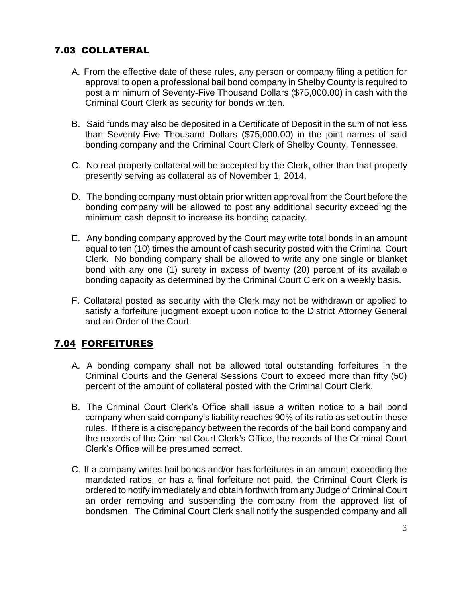# 7.03 COLLATERAL

- A. From the effective date of these rules, any person or company filing a petition for approval to open a professional bail bond company in Shelby County is required to post a minimum of Seventy-Five Thousand Dollars (\$75,000.00) in cash with the Criminal Court Clerk as security for bonds written.
- B. Said funds may also be deposited in a Certificate of Deposit in the sum of not less than Seventy-Five Thousand Dollars (\$75,000.00) in the joint names of said bonding company and the Criminal Court Clerk of Shelby County, Tennessee.
- C. No real property collateral will be accepted by the Clerk, other than that property presently serving as collateral as of November 1, 2014.
- D. The bonding company must obtain prior written approval from the Court before the bonding company will be allowed to post any additional security exceeding the minimum cash deposit to increase its bonding capacity.
- E. Any bonding company approved by the Court may write total bonds in an amount equal to ten (10) times the amount of cash security posted with the Criminal Court Clerk. No bonding company shall be allowed to write any one single or blanket bond with any one (1) surety in excess of twenty (20) percent of its available bonding capacity as determined by the Criminal Court Clerk on a weekly basis.
- F. Collateral posted as security with the Clerk may not be withdrawn or applied to satisfy a forfeiture judgment except upon notice to the District Attorney General and an Order of the Court.

## 7.04 FORFEITURES

- A. A bonding company shall not be allowed total outstanding forfeitures in the Criminal Courts and the General Sessions Court to exceed more than fifty (50) percent of the amount of collateral posted with the Criminal Court Clerk.
- B. The Criminal Court Clerk's Office shall issue a written notice to a bail bond company when said company's liability reaches 90% of its ratio as set out in these rules. If there is a discrepancy between the records of the bail bond company and the records of the Criminal Court Clerk's Office, the records of the Criminal Court Clerk's Office will be presumed correct.
- C. If a company writes bail bonds and/or has forfeitures in an amount exceeding the mandated ratios, or has a final forfeiture not paid, the Criminal Court Clerk is ordered to notify immediately and obtain forthwith from any Judge of Criminal Court an order removing and suspending the company from the approved list of bondsmen. The Criminal Court Clerk shall notify the suspended company and all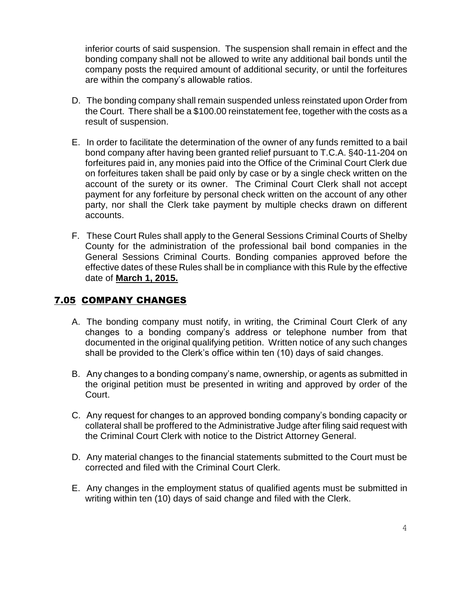inferior courts of said suspension. The suspension shall remain in effect and the bonding company shall not be allowed to write any additional bail bonds until the company posts the required amount of additional security, or until the forfeitures are within the company's allowable ratios.

- D. The bonding company shall remain suspended unless reinstated upon Order from the Court. There shall be a \$100.00 reinstatement fee, together with the costs as a result of suspension.
- E. In order to facilitate the determination of the owner of any funds remitted to a bail bond company after having been granted relief pursuant to T.C.A. §40-11-204 on forfeitures paid in, any monies paid into the Office of the Criminal Court Clerk due on forfeitures taken shall be paid only by case or by a single check written on the account of the surety or its owner. The Criminal Court Clerk shall not accept payment for any forfeiture by personal check written on the account of any other party, nor shall the Clerk take payment by multiple checks drawn on different accounts.
- F. These Court Rules shall apply to the General Sessions Criminal Courts of Shelby County for the administration of the professional bail bond companies in the General Sessions Criminal Courts. Bonding companies approved before the effective dates of these Rules shall be in compliance with this Rule by the effective date of **March 1, 2015.**

## 7.05 COMPANY CHANGES

- A. The bonding company must notify, in writing, the Criminal Court Clerk of any changes to a bonding company's address or telephone number from that documented in the original qualifying petition. Written notice of any such changes shall be provided to the Clerk's office within ten (10) days of said changes.
- B. Any changes to a bonding company's name, ownership, or agents as submitted in the original petition must be presented in writing and approved by order of the Court.
- C. Any request for changes to an approved bonding company's bonding capacity or collateral shall be proffered to the Administrative Judge after filing said request with the Criminal Court Clerk with notice to the District Attorney General.
- D. Any material changes to the financial statements submitted to the Court must be corrected and filed with the Criminal Court Clerk.
- E. Any changes in the employment status of qualified agents must be submitted in writing within ten (10) days of said change and filed with the Clerk.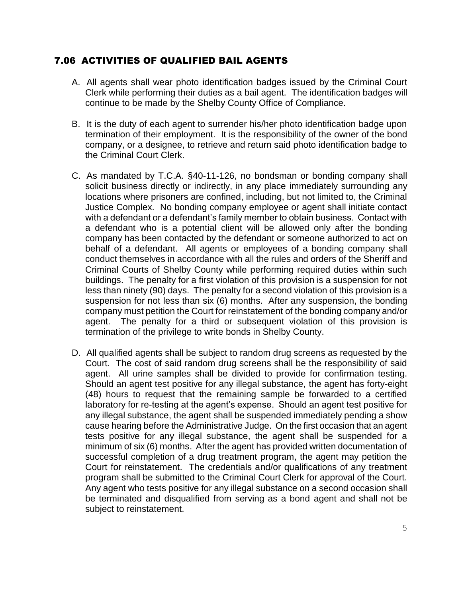### 7.06 ACTIVITIES OF QUALIFIED BAIL AGENTS

- A. All agents shall wear photo identification badges issued by the Criminal Court Clerk while performing their duties as a bail agent. The identification badges will continue to be made by the Shelby County Office of Compliance.
- B. It is the duty of each agent to surrender his/her photo identification badge upon termination of their employment. It is the responsibility of the owner of the bond company, or a designee, to retrieve and return said photo identification badge to the Criminal Court Clerk.
- C. As mandated by T.C.A. §40-11-126, no bondsman or bonding company shall solicit business directly or indirectly, in any place immediately surrounding any locations where prisoners are confined, including, but not limited to, the Criminal Justice Complex. No bonding company employee or agent shall initiate contact with a defendant or a defendant's family member to obtain business. Contact with a defendant who is a potential client will be allowed only after the bonding company has been contacted by the defendant or someone authorized to act on behalf of a defendant. All agents or employees of a bonding company shall conduct themselves in accordance with all the rules and orders of the Sheriff and Criminal Courts of Shelby County while performing required duties within such buildings. The penalty for a first violation of this provision is a suspension for not less than ninety (90) days. The penalty for a second violation of this provision is a suspension for not less than six (6) months. After any suspension, the bonding company must petition the Court for reinstatement of the bonding company and/or agent. The penalty for a third or subsequent violation of this provision is termination of the privilege to write bonds in Shelby County.
- D. All qualified agents shall be subject to random drug screens as requested by the Court. The cost of said random drug screens shall be the responsibility of said agent. All urine samples shall be divided to provide for confirmation testing. Should an agent test positive for any illegal substance, the agent has forty-eight (48) hours to request that the remaining sample be forwarded to a certified laboratory for re-testing at the agent's expense. Should an agent test positive for any illegal substance, the agent shall be suspended immediately pending a show cause hearing before the Administrative Judge. On the first occasion that an agent tests positive for any illegal substance, the agent shall be suspended for a minimum of six (6) months. After the agent has provided written documentation of successful completion of a drug treatment program, the agent may petition the Court for reinstatement. The credentials and/or qualifications of any treatment program shall be submitted to the Criminal Court Clerk for approval of the Court. Any agent who tests positive for any illegal substance on a second occasion shall be terminated and disqualified from serving as a bond agent and shall not be subject to reinstatement.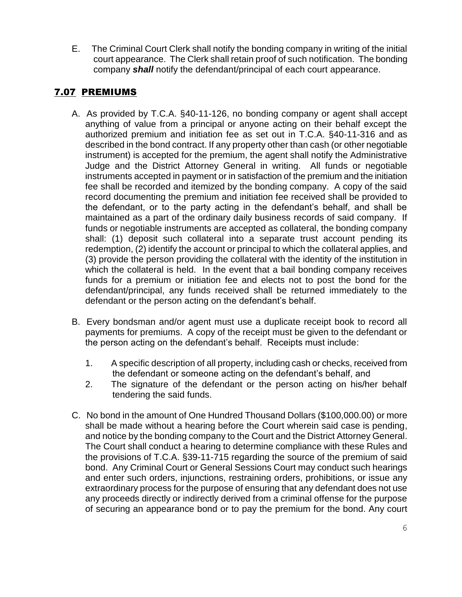E. The Criminal Court Clerk shall notify the bonding company in writing of the initial court appearance. The Clerk shall retain proof of such notification. The bonding company *shall* notify the defendant/principal of each court appearance.

## 7.07 PREMIUMS

- A. As provided by T.C.A. §40-11-126, no bonding company or agent shall accept anything of value from a principal or anyone acting on their behalf except the authorized premium and initiation fee as set out in T.C.A. §40-11-316 and as described in the bond contract. If any property other than cash (or other negotiable instrument) is accepted for the premium, the agent shall notify the Administrative Judge and the District Attorney General in writing. All funds or negotiable instruments accepted in payment or in satisfaction of the premium and the initiation fee shall be recorded and itemized by the bonding company. A copy of the said record documenting the premium and initiation fee received shall be provided to the defendant, or to the party acting in the defendant's behalf, and shall be maintained as a part of the ordinary daily business records of said company. If funds or negotiable instruments are accepted as collateral, the bonding company shall: (1) deposit such collateral into a separate trust account pending its redemption, (2) identify the account or principal to which the collateral applies, and (3) provide the person providing the collateral with the identity of the institution in which the collateral is held. In the event that a bail bonding company receives funds for a premium or initiation fee and elects not to post the bond for the defendant/principal, any funds received shall be returned immediately to the defendant or the person acting on the defendant's behalf.
- B. Every bondsman and/or agent must use a duplicate receipt book to record all payments for premiums. A copy of the receipt must be given to the defendant or the person acting on the defendant's behalf. Receipts must include:
	- 1. A specific description of all property, including cash or checks, received from the defendant or someone acting on the defendant's behalf, and
	- 2. The signature of the defendant or the person acting on his/her behalf tendering the said funds.
- C. No bond in the amount of One Hundred Thousand Dollars (\$100,000.00) or more shall be made without a hearing before the Court wherein said case is pending, and notice by the bonding company to the Court and the District Attorney General. The Court shall conduct a hearing to determine compliance with these Rules and the provisions of T.C.A. §39-11-715 regarding the source of the premium of said bond. Any Criminal Court or General Sessions Court may conduct such hearings and enter such orders, injunctions, restraining orders, prohibitions, or issue any extraordinary process for the purpose of ensuring that any defendant does not use any proceeds directly or indirectly derived from a criminal offense for the purpose of securing an appearance bond or to pay the premium for the bond. Any court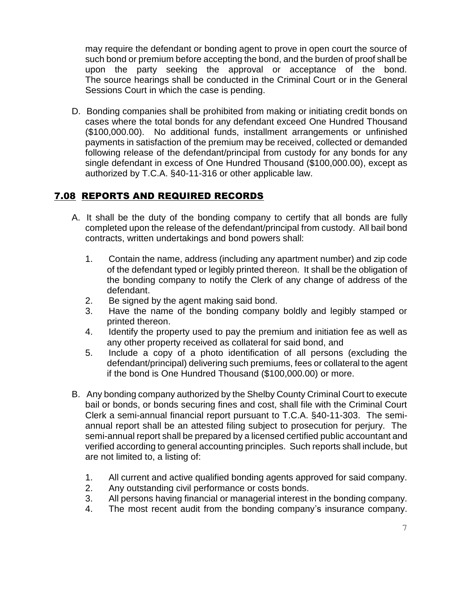may require the defendant or bonding agent to prove in open court the source of such bond or premium before accepting the bond, and the burden of proof shall be upon the party seeking the approval or acceptance of the bond. The source hearings shall be conducted in the Criminal Court or in the General Sessions Court in which the case is pending.

D. Bonding companies shall be prohibited from making or initiating credit bonds on cases where the total bonds for any defendant exceed One Hundred Thousand (\$100,000.00). No additional funds, installment arrangements or unfinished payments in satisfaction of the premium may be received, collected or demanded following release of the defendant/principal from custody for any bonds for any single defendant in excess of One Hundred Thousand (\$100,000.00), except as authorized by T.C.A. §40-11-316 or other applicable law.

# 7.08 REPORTS AND REQUIRED RECORDS

- A. It shall be the duty of the bonding company to certify that all bonds are fully completed upon the release of the defendant/principal from custody. All bail bond contracts, written undertakings and bond powers shall:
	- 1. Contain the name, address (including any apartment number) and zip code of the defendant typed or legibly printed thereon. It shall be the obligation of the bonding company to notify the Clerk of any change of address of the defendant.
	- 2. Be signed by the agent making said bond.
	- 3. Have the name of the bonding company boldly and legibly stamped or printed thereon.
	- 4. Identify the property used to pay the premium and initiation fee as well as any other property received as collateral for said bond, and
	- 5. Include a copy of a photo identification of all persons (excluding the defendant/principal) delivering such premiums, fees or collateral to the agent if the bond is One Hundred Thousand (\$100,000.00) or more.
- B. Any bonding company authorized by the Shelby County Criminal Court to execute bail or bonds, or bonds securing fines and cost, shall file with the Criminal Court Clerk a semi-annual financial report pursuant to T.C.A. §40-11-303. The semiannual report shall be an attested filing subject to prosecution for perjury. The semi-annual report shall be prepared by a licensed certified public accountant and verified according to general accounting principles. Such reports shall include, but are not limited to, a listing of:
	- 1. All current and active qualified bonding agents approved for said company.
	- 2. Any outstanding civil performance or costs bonds.
	- 3. All persons having financial or managerial interest in the bonding company.
	- 4. The most recent audit from the bonding company's insurance company.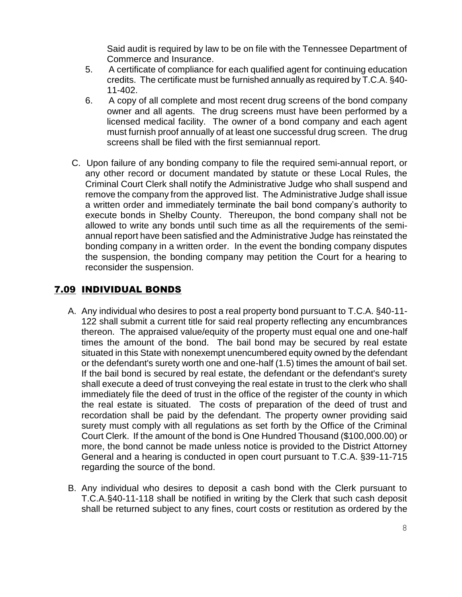Said audit is required by law to be on file with the Tennessee Department of Commerce and Insurance.

- 5. A certificate of compliance for each qualified agent for continuing education credits. The certificate must be furnished annually as required by T.C.A. §40- 11-402.
- 6. A copy of all complete and most recent drug screens of the bond company owner and all agents. The drug screens must have been performed by a licensed medical facility. The owner of a bond company and each agent must furnish proof annually of at least one successful drug screen. The drug screens shall be filed with the first semiannual report.
- C. Upon failure of any bonding company to file the required semi-annual report, or any other record or document mandated by statute or these Local Rules, the Criminal Court Clerk shall notify the Administrative Judge who shall suspend and remove the company from the approved list. The Administrative Judge shall issue a written order and immediately terminate the bail bond company's authority to execute bonds in Shelby County. Thereupon, the bond company shall not be allowed to write any bonds until such time as all the requirements of the semiannual report have been satisfied and the Administrative Judge has reinstated the bonding company in a written order. In the event the bonding company disputes the suspension, the bonding company may petition the Court for a hearing to reconsider the suspension.

## 7.09 INDIVIDUAL BONDS

- A. Any individual who desires to post a real property bond pursuant to T.C.A. §40-11- 122 shall submit a current title for said real property reflecting any encumbrances thereon. The appraised value/equity of the property must equal one and one-half times the amount of the bond. The bail bond may be secured by real estate situated in this State with nonexempt unencumbered equity owned by the defendant or the defendant's surety worth one and one-half (1.5) times the amount of bail set. If the bail bond is secured by real estate, the defendant or the defendant's surety shall execute a deed of trust conveying the real estate in trust to the clerk who shall immediately file the deed of trust in the office of the register of the county in which the real estate is situated. The costs of preparation of the deed of trust and recordation shall be paid by the defendant. The property owner providing said surety must comply with all regulations as set forth by the Office of the Criminal Court Clerk. If the amount of the bond is One Hundred Thousand (\$100,000.00) or more, the bond cannot be made unless notice is provided to the District Attorney General and a hearing is conducted in open court pursuant to T.C.A. §39-11-715 regarding the source of the bond.
- B. Any individual who desires to deposit a cash bond with the Clerk pursuant to T.C.A.§40-11-118 shall be notified in writing by the Clerk that such cash deposit shall be returned subject to any fines, court costs or restitution as ordered by the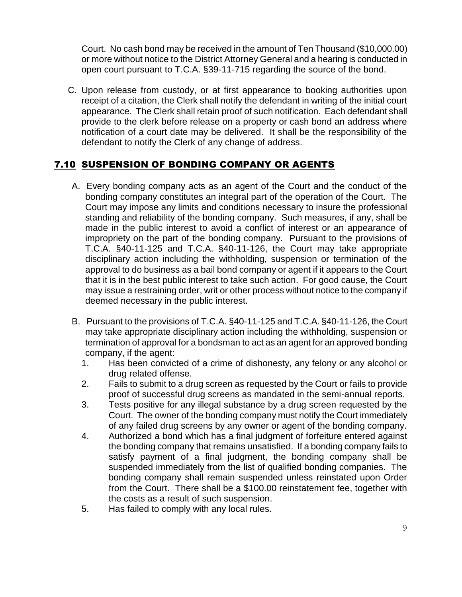Court. No cash bond may be received in the amount of Ten Thousand (\$10,000.00) or more without notice to the District Attorney General and a hearing is conducted in open court pursuant to T.C.A. §39-11-715 regarding the source of the bond.

C. Upon release from custody, or at first appearance to booking authorities upon receipt of a citation, the Clerk shall notify the defendant in writing of the initial court appearance. The Clerk shall retain proof of such notification. Each defendant shall provide to the clerk before release on a property or cash bond an address where notification of a court date may be delivered. It shall be the responsibility of the defendant to notify the Clerk of any change of address.

## 7.10 SUSPENSION OF BONDING COMPANY OR AGENTS

- A. Every bonding company acts as an agent of the Court and the conduct of the bonding company constitutes an integral part of the operation of the Court. The Court may impose any limits and conditions necessary to insure the professional standing and reliability of the bonding company. Such measures, if any, shall be made in the public interest to avoid a conflict of interest or an appearance of impropriety on the part of the bonding company. Pursuant to the provisions of T.C.A. §40-11-125 and T.C.A. §40-11-126, the Court may take appropriate disciplinary action including the withholding, suspension or termination of the approval to do business as a bail bond company or agent if it appears to the Court that it is in the best public interest to take such action. For good cause, the Court may issue a restraining order, writ or other process without notice to the company if deemed necessary in the public interest.
- B. Pursuant to the provisions of T.C.A. §40-11-125 and T.C.A. §40-11-126, the Court may take appropriate disciplinary action including the withholding, suspension or termination of approval for a bondsman to act as an agent for an approved bonding company, if the agent:
	- 1. Has been convicted of a crime of dishonesty, any felony or any alcohol or drug related offense.
	- 2. Fails to submit to a drug screen as requested by the Court or fails to provide proof of successful drug screens as mandated in the semi-annual reports.
	- 3. Tests positive for any illegal substance by a drug screen requested by the Court. The owner of the bonding company must notify the Court immediately of any failed drug screens by any owner or agent of the bonding company.
	- 4. Authorized a bond which has a final judgment of forfeiture entered against the bonding company that remains unsatisfied. If a bonding company fails to satisfy payment of a final judgment, the bonding company shall be suspended immediately from the list of qualified bonding companies. The bonding company shall remain suspended unless reinstated upon Order from the Court. There shall be a \$100.00 reinstatement fee, together with the costs as a result of such suspension.
	- 5. Has failed to comply with any local rules.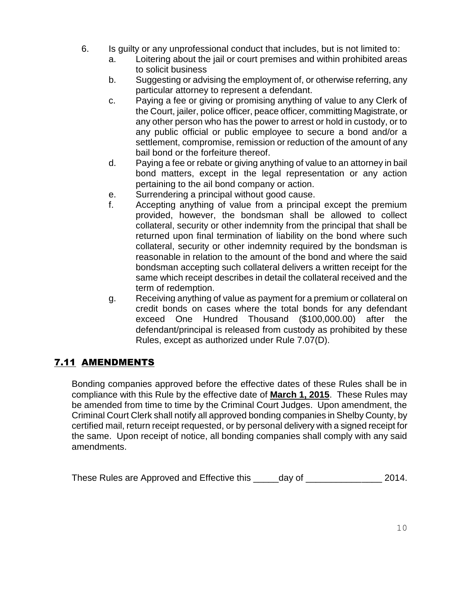- 6. Is guilty or any unprofessional conduct that includes, but is not limited to:
	- a. Loitering about the jail or court premises and within prohibited areas to solicit business
	- b. Suggesting or advising the employment of, or otherwise referring, any particular attorney to represent a defendant.
	- c. Paying a fee or giving or promising anything of value to any Clerk of the Court, jailer, police officer, peace officer, committing Magistrate, or any other person who has the power to arrest or hold in custody, or to any public official or public employee to secure a bond and/or a settlement, compromise, remission or reduction of the amount of any bail bond or the forfeiture thereof.
	- d. Paying a fee or rebate or giving anything of value to an attorney in bail bond matters, except in the legal representation or any action pertaining to the ail bond company or action.
	- e. Surrendering a principal without good cause.
	- f. Accepting anything of value from a principal except the premium provided, however, the bondsman shall be allowed to collect collateral, security or other indemnity from the principal that shall be returned upon final termination of liability on the bond where such collateral, security or other indemnity required by the bondsman is reasonable in relation to the amount of the bond and where the said bondsman accepting such collateral delivers a written receipt for the same which receipt describes in detail the collateral received and the term of redemption.
	- g. Receiving anything of value as payment for a premium or collateral on credit bonds on cases where the total bonds for any defendant exceed One Hundred Thousand (\$100,000.00) after the defendant/principal is released from custody as prohibited by these Rules, except as authorized under Rule 7.07(D).

## 7.11 AMENDMENTS

Bonding companies approved before the effective dates of these Rules shall be in compliance with this Rule by the effective date of **March 1, 2015**. These Rules may be amended from time to time by the Criminal Court Judges. Upon amendment, the Criminal Court Clerk shall notify all approved bonding companies in Shelby County, by certified mail, return receipt requested, or by personal delivery with a signed receipt for the same. Upon receipt of notice, all bonding companies shall comply with any said amendments.

These Rules are Approved and Effective this \_\_\_\_day of \_\_\_\_\_\_\_\_\_\_\_\_\_\_\_\_\_\_\_\_\_ 2014.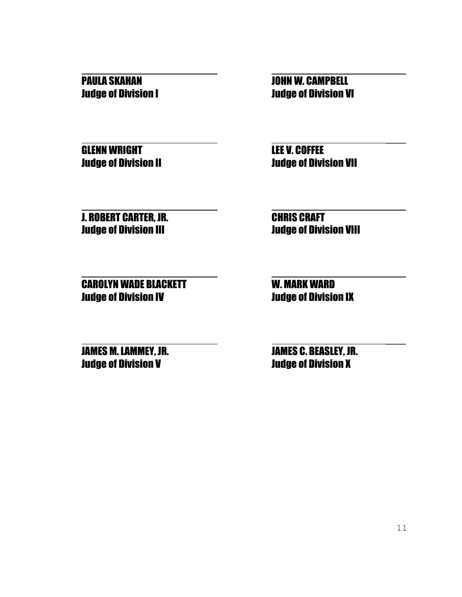GLENN WRIGHT **READ COFFEE** 

PAULA SKAHAN JOHN W. CAMPBELL Judge of Division I Judge of Division VI

\_\_\_\_

\_\_\_\_

\_\_\_\_

\_\_\_\_

Judge of Division II Judge of Division VII

**J. ROBERT CARTER, JR. CHRIS CRAFT** 

 \_\_\_\_ Judge of Division III Judge of Division VIII

CAROLYN WADE BLACKETT W. MARK WARD Judge of Division IV Judge of Division IX

Judge of Division V Judge of Division X

**JAMES M. LAMMEY, JR. JAMES C. BEASLEY, JR.**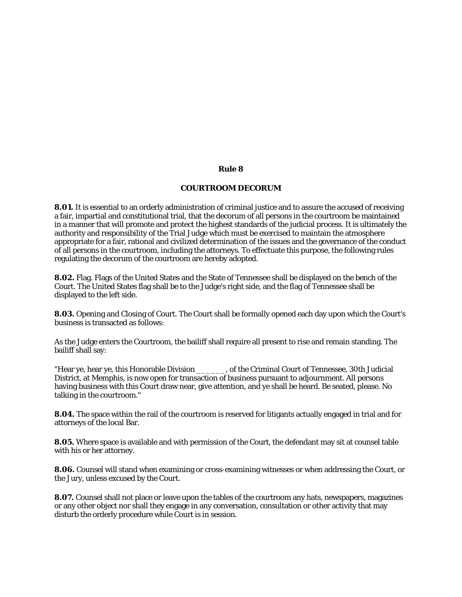### **Rule 8**

### **COURTROOM DECORUM**

**8.01.** It is essential to an orderly administration of criminal justice and to assure the accused of receiving a fair, impartial and constitutional trial, that the decorum of all persons in the courtroom be maintained in a manner that will promote and protect the highest standards of the judicial process. It is ultimately the authority and responsibility of the Trial Judge which must be exercised to maintain the atmosphere appropriate for a fair, rational and civilized determination of the issues and the governance of the conduct of all persons in the courtroom, including the attorneys. To effectuate this purpose, the following rules regulating the decorum of the courtroom are hereby adopted.

**8.02.** Flag. Flags of the United States and the State of Tennessee shall be displayed on the bench of the Court. The United States flag shall be to the Judge's right side, and the flag of Tennessee shall be displayed to the left side.

**8.03.** Opening and Closing of Court. The Court shall be formally opened each day upon which the Court's business is transacted as follows:

As the Judge enters the Courtroom, the bailiff shall require all present to rise and remain standing. The bailiff shall say:

"Hear ye, hear ye, this Honorable Division \_\_\_\_\_\_, of the Criminal Court of Tennessee, 30th Judicial District, at Memphis, is now open for transaction of business pursuant to adjournment. All persons having business with this Court draw near, give attention, and ye shall be heard. Be seated, please. No talking in the courtroom."

**8.04.** The space within the rail of the courtroom is reserved for litigants actually engaged in trial and for attorneys of the local Bar.

**8.05.** Where space is available and with permission of the Court, the defendant may sit at counsel table with his or her attorney.

**8.06.** Counsel will stand when examining or cross-examining witnesses or when addressing the Court, or the Jury, unless excused by the Court.

**8.07.** Counsel shall not place or leave upon the tables of the courtroom any hats, newspapers, magazines or any other object nor shall they engage in any conversation, consultation or other activity that may disturb the orderly procedure while Court is in session.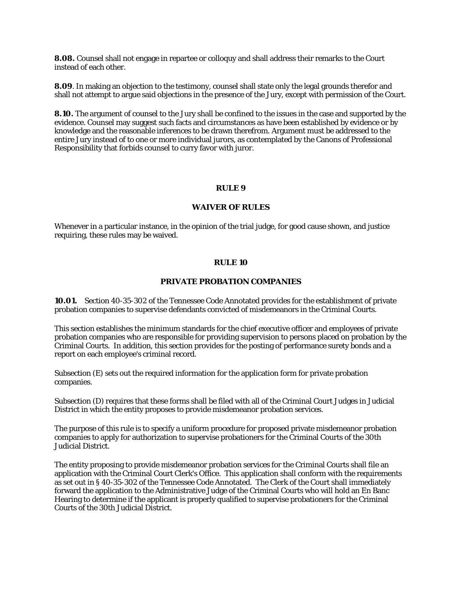**8.08.** Counsel shall not engage in repartee or colloquy and shall address their remarks to the Court instead of each other.

**8.09**. In making an objection to the testimony, counsel shall state only the legal grounds therefor and shall not attempt to argue said objections in the presence of the Jury, except with permission of the Court.

**8.10.** The argument of counsel to the Jury shall be confined to the issues in the case and supported by the evidence. Counsel may suggest such facts and circumstances as have been established by evidence or by knowledge and the reasonable inferences to be drawn therefrom. Argument must be addressed to the entire Jury instead of to one or more individual jurors, as contemplated by the Canons of Professional Responsibility that forbids counsel to curry favor with juror.

### **RULE 9**

### **WAIVER OF RULES**

Whenever in a particular instance, in the opinion of the trial judge, for good cause shown, and justice requiring, these rules may be waived.

#### **RULE 10**

### **PRIVATE PROBATION COMPANIES**

**10.01.** Section 40-35-302 of the Tennessee Code Annotated provides for the establishment of private probation companies to supervise defendants convicted of misdemeanors in the Criminal Courts.

This section establishes the minimum standards for the chief executive officer and employees of private probation companies who are responsible for providing supervision to persons placed on probation by the Criminal Courts. In addition, this section provides for the posting of performance surety bonds and a report on each employee's criminal record.

Subsection (E) sets out the required information for the application form for private probation companies.

Subsection (D) requires that these forms shall be filed with all of the Criminal Court Judges in Judicial District in which the entity proposes to provide misdemeanor probation services.

The purpose of this rule is to specify a uniform procedure for proposed private misdemeanor probation companies to apply for authorization to supervise probationers for the Criminal Courts of the 30th Judicial District.

The entity proposing to provide misdemeanor probation services for the Criminal Courts shall file an application with the Criminal Court Clerk's Office. This application shall conform with the requirements as set out in § 40-35-302 of the Tennessee Code Annotated. The Clerk of the Court shall immediately forward the application to the Administrative Judge of the Criminal Courts who will hold an En Banc Hearing to determine if the applicant is properly qualified to supervise probationers for the Criminal Courts of the 30th Judicial District.